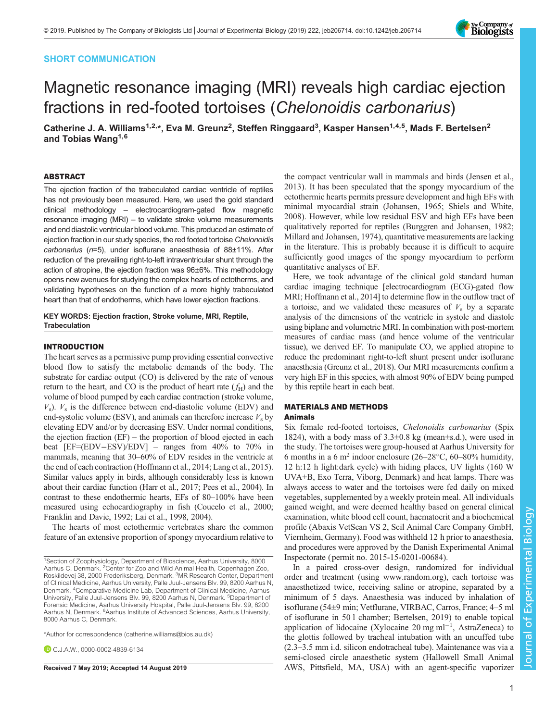## SHORT COMMUNICATION

# Magnetic resonance imaging (MRI) reveals high cardiac ejection fractions in red-footed tortoises (Chelonoidis carbonarius)

Catherine J. A. Williams<sup>1,2,</sup>\*, Eva M. Greunz<sup>2</sup>, Steffen Ringgaard<sup>3</sup>, Kasper Hansen<sup>1,4,5</sup>, Mads F. Bertelsen<sup>2</sup> and Tobias Wang<sup>1,6</sup>

## ABSTRACT

The ejection fraction of the trabeculated cardiac ventricle of reptiles has not previously been measured. Here, we used the gold standard clinical methodology – electrocardiogram-gated flow magnetic resonance imaging (MRI) – to validate stroke volume measurements and end diastolic ventricular blood volume. This produced an estimate of ejection fraction in our study species, the red footed tortoise Chelonoidis carbonarius (n=5), under isoflurane anaesthesia of 88±11%. After reduction of the prevailing right-to-left intraventricular shunt through the action of atropine, the ejection fraction was 96±6%. This methodology opens new avenues for studying the complex hearts of ectotherms, and validating hypotheses on the function of a more highly trabeculated heart than that of endotherms, which have lower ejection fractions.

KEY WORDS: Ejection fraction, Stroke volume, MRI, Reptile, **Trabeculation** 

## INTRODUCTION

The heart serves as a permissive pump providing essential convective blood flow to satisfy the metabolic demands of the body. The substrate for cardiac output (CO) is delivered by the rate of venous return to the heart, and CO is the product of heart rate  $(f_H)$  and the volume of blood pumped by each cardiac contraction (stroke volume,  $V<sub>s</sub>$ ).  $V<sub>s</sub>$  is the difference between end-diastolic volume (EDV) and end-systolic volume (ESV), and animals can therefore increase  $V<sub>s</sub>$  by elevating EDV and/or by decreasing ESV. Under normal conditions, the ejection fraction  $(EF)$  – the proportion of blood ejected in each beat [EF=(EDV−ESV)/EDV] – ranges from 40% to 70% in mammals, meaning that 30–60% of EDV resides in the ventricle at the end of each contraction ([Hoffmann et al., 2014;](#page-4-0) [Lang et al., 2015\)](#page-5-0). Similar values apply in birds, although considerably less is known about their cardiac function [\(Harr et al., 2017](#page-4-0); [Pees et al., 2004](#page-5-0)). In contrast to these endothermic hearts, EFs of 80–100% have been measured using echocardiography in fish [\(Coucelo et al., 2000](#page-4-0); [Franklin and Davie, 1992](#page-4-0); [Lai et al., 1998, 2004](#page-5-0)).

The hearts of most ectothermic vertebrates share the common feature of an extensive proportion of spongy myocardium relative to

\*Author for correspondence [\(catherine.williams@bios.au.dk](mailto:catherine.williams@bios.au.dk))

C.J.A.W., [0000-0002-4839-6134](http://orcid.org/0000-0002-4839-6134)

the compact ventricular wall in mammals and birds ([Jensen et al.,](#page-4-0) [2013\)](#page-4-0). It has been speculated that the spongy myocardium of the ectothermic hearts permits pressure development and high EFs with minimal myocardial strain ([Johansen, 1965;](#page-4-0) [Shiels and White,](#page-5-0) [2008\)](#page-5-0). However, while low residual ESV and high EFs have been qualitatively reported for reptiles [\(Burggren and Johansen, 1982](#page-4-0); [Millard and Johansen, 1974](#page-5-0)), quantitative measurements are lacking in the literature. This is probably because it is difficult to acquire sufficiently good images of the spongy myocardium to perform quantitative analyses of EF.

Here, we took advantage of the clinical gold standard human cardiac imaging technique [electrocardiogram (ECG)-gated flow MRI; [Hoffmann et al., 2014](#page-4-0)] to determine flow in the outflow tract of a tortoise, and we validated these measures of  $V<sub>s</sub>$  by a separate analysis of the dimensions of the ventricle in systole and diastole using biplane and volumetric MRI. In combination with post-mortem measures of cardiac mass (and hence volume of the ventricular tissue), we derived EF. To manipulate CO, we applied atropine to reduce the predominant right-to-left shunt present under isoflurane anaesthesia ([Greunz et al., 2018](#page-4-0)). Our MRI measurements confirm a very high EF in this species, with almost 90% of EDV being pumped by this reptile heart in each beat.

## MATERIALS AND METHODS

## Animals

Six female red-footed tortoises, Chelonoidis carbonarius (Spix 1824), with a body mass of  $3.3\pm0.8$  kg (mean $\pm$ s.d.), were used in the study. The tortoises were group-housed at Aarhus University for 6 months in a 6 m<sup>2</sup> indoor enclosure (26–28 $\degree$ C, 60–80% humidity, 12 h:12 h light:dark cycle) with hiding places, UV lights (160 W UVA+B, Exo Terra, Viborg, Denmark) and heat lamps. There was always access to water and the tortoises were fed daily on mixed vegetables, supplemented by a weekly protein meal. All individuals gained weight, and were deemed healthy based on general clinical examination, white blood cell count, haematocrit and a biochemical profile (Abaxis VetScan VS 2, Scil Animal Care Company GmbH, Viernheim, Germany). Food was withheld 12 h prior to anaesthesia, and procedures were approved by the Danish Experimental Animal Inspectorate ( permit no. 2015-15-0201-00684).

In a paired cross-over design, randomized for individual order and treatment (using [www.random.org\)](http://www.random.org), each tortoise was anaesthetized twice, receiving saline or atropine, separated by a minimum of 5 days. Anaesthesia was induced by inhalation of isoflurane (54±9 min; Vetflurane, VIRBAC, Carros, France; 4–5 ml of isoflurane in 50 l chamber; [Bertelsen, 2019\)](#page-4-0) to enable topical application of lidocaine (Xylocaine 20 mg ml−<sup>1</sup> , AstraZeneca) to the glottis followed by tracheal intubation with an uncuffed tube (2.3–3.5 mm i.d. silicon endotracheal tube). Maintenance was via a semi-closed circle anaesthetic system (Hallowell Small Animal Received 7 May 2019; Accepted 14 August 2019 **AWS, Pittsfield, MA, USA)** with an agent-specific vaporizer



<sup>&</sup>lt;sup>1</sup>Section of Zoophysiology, Department of Bioscience, Aarhus University, 8000 Aarhus C, Denmark. <sup>2</sup>Center for Zoo and Wild Animal Health, Copenhagen Zoo, Roskildevej 38, 2000 Frederiksberg, Denmark. <sup>3</sup>MR Research Center, Department of Clinical Medicine, Aarhus University, Palle Juul-Jensens Blv. 99, 8200 Aarhus N, Denmark. <sup>4</sup> Comparative Medicine Lab, Department of Clinical Medicine, Aarhus University, Palle Juul-Jensens Blv. 99, 8200 Aarhus N, Denmark. <sup>5</sup>Department of Forensic Medicine, Aarhus University Hospital, Palle Juul-Jensens Blv. 99, 8200 Aarhus N, Denmark. <sup>6</sup>Aarhus Institute of Advanced Sciences, Aarhus University, 8000 Aarhus C, Denmark.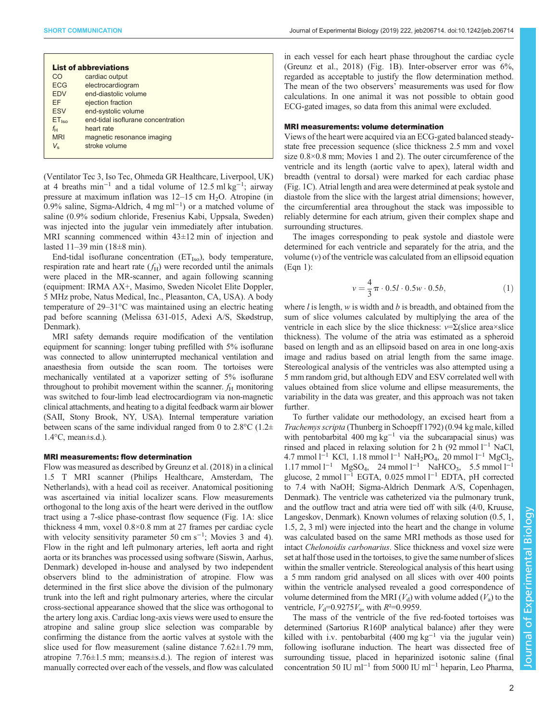| <b>List of abbreviations</b> |                                    |  |  |  |
|------------------------------|------------------------------------|--|--|--|
| CO                           | cardiac output                     |  |  |  |
| <b>ECG</b>                   | electrocardiogram                  |  |  |  |
| <b>EDV</b>                   | end-diastolic volume               |  |  |  |
| FF                           | ejection fraction                  |  |  |  |
| <b>ESV</b>                   | end-systolic volume                |  |  |  |
| ET <sub>iso</sub>            | end-tidal isoflurane concentration |  |  |  |
| $f_{\vdash}$                 | heart rate                         |  |  |  |
| <b>MRI</b>                   | magnetic resonance imaging         |  |  |  |
| V,                           | stroke volume                      |  |  |  |
|                              |                                    |  |  |  |

(Ventilator Tec 3, Iso Tec, Ohmeda GR Healthcare, Liverpool, UK) at 4 breaths min<sup>-1</sup> and a tidal volume of 12.5 ml kg<sup>-1</sup>; airway pressure at maximum inflation was  $12-15$  cm  $H<sub>2</sub>O$ . Atropine (in 0.9% saline, Sigma-Aldrich, 4 mg ml<sup>-1</sup>) or a matched volume of saline (0.9% sodium chloride, Fresenius Kabi, Uppsala, Sweden) was injected into the jugular vein immediately after intubation. MRI scanning commenced within 43±12 min of injection and lasted  $11-39$  min  $(18\pm8$  min).

End-tidal isoflurane concentration  $(ET<sub>Iso</sub>)$ , body temperature, respiration rate and heart rate  $(f_H)$  were recorded until the animals were placed in the MR-scanner, and again following scanning (equipment: IRMA AX+, Masimo, Sweden Nicolet Elite Doppler, 5 MHz probe, Natus Medical, Inc., Pleasanton, CA, USA). A body temperature of 29–31°C was maintained using an electric heating pad before scanning (Melissa 631-015, Adexi A/S, Skødstrup, Denmark).

MRI safety demands require modification of the ventilation equipment for scanning: longer tubing prefilled with 5% isoflurane was connected to allow uninterrupted mechanical ventilation and anaesthesia from outside the scan room. The tortoises were mechanically ventilated at a vaporizer setting of 5% isoflurane throughout to prohibit movement within the scanner.  $f<sub>H</sub>$  monitoring was switched to four-limb lead electrocardiogram via non-magnetic clinical attachments, and heating to a digital feedback warm air blower (SAII, Stony Brook, NY, USA). Internal temperature variation between scans of the same individual ranged from 0 to  $2.8^{\circ}$ C (1.2 $\pm$ 1.4°C, mean±s.d.).

#### MRI measurements: flow determination

Flow was measured as described by [Greunz et al. \(2018\)](#page-4-0) in a clinical 1.5 T MRI scanner (Philips Healthcare, Amsterdam, The Netherlands), with a head coil as receiver. Anatomical positioning was ascertained via initial localizer scans. Flow measurements orthogonal to the long axis of the heart were derived in the outflow tract using a 7-slice phase-contrast flow sequence ([Fig. 1A](#page-2-0): slice thickness 4 mm, voxel 0.8×0.8 mm at 27 frames per cardiac cycle with velocity sensitivity parameter 50 cm s<sup>-1</sup>; [Movies 3](http://jeb.biologists.org/lookup/doi/10.1242/jeb.206714.supplemental) and [4\)](http://jeb.biologists.org/lookup/doi/10.1242/jeb.206714.supplemental). Flow in the right and left pulmonary arteries, left aorta and right aorta or its branches was processed using software (Siswin, Aarhus, Denmark) developed in-house and analysed by two independent observers blind to the administration of atropine. Flow was determined in the first slice above the division of the pulmonary trunk into the left and right pulmonary arteries, where the circular cross-sectional appearance showed that the slice was orthogonal to the artery long axis. Cardiac long-axis views were used to ensure the atropine and saline group slice selection was comparable by confirming the distance from the aortic valves at systole with the slice used for flow measurement (saline distance 7.62±1.79 mm, atropine  $7.76 \pm 1.5$  mm; means $\pm$ s.d.). The region of interest was manually corrected over each of the vessels, and flow was calculated

in each vessel for each heart phase throughout the cardiac cycle [\(Greunz et al., 2018](#page-4-0)) ([Fig. 1](#page-2-0)B). Inter-observer error was 6%, regarded as acceptable to justify the flow determination method. The mean of the two observers' measurements was used for flow calculations. In one animal it was not possible to obtain good ECG-gated images, so data from this animal were excluded.

## MRI measurements: volume determination

Views of the heart were acquired via an ECG-gated balanced steadystate free precession sequence (slice thickness 2.5 mm and voxel size  $0.8 \times 0.8$  mm; [Movies 1](http://jeb.biologists.org/lookup/doi/10.1242/jeb.206714.supplemental) and [2](http://jeb.biologists.org/lookup/doi/10.1242/jeb.206714.supplemental)). The outer circumference of the ventricle and its length (aortic valve to apex), lateral width and breadth (ventral to dorsal) were marked for each cardiac phase [\(Fig. 1C](#page-2-0)). Atrial length and area were determined at peak systole and diastole from the slice with the largest atrial dimensions; however, the circumferential area throughout the stack was impossible to reliably determine for each atrium, given their complex shape and surrounding structures.

The images corresponding to peak systole and diastole were determined for each ventricle and separately for the atria, and the volume  $(v)$  of the ventricle was calculated from an ellipsoid equation (Eqn 1):

$$
v = \frac{4}{3}\pi \cdot 0.5l \cdot 0.5w \cdot 0.5b,
$$
 (1)

where  $l$  is length,  $w$  is width and  $b$  is breadth, and obtained from the sum of slice volumes calculated by multiplying the area of the ventricle in each slice by the slice thickness:  $v=\Sigma$ (slice area×slice thickness). The volume of the atria was estimated as a spheroid based on length and as an ellipsoid based on area in one long-axis image and radius based on atrial length from the same image. Stereological analysis of the ventricles was also attempted using a 5 mm random grid, but although EDV and ESV correlated well with values obtained from slice volume and ellipse measurements, the variability in the data was greater, and this approach was not taken further.

To further validate our methodology, an excised heart from a Trachemys scripta (Thunberg in Schoepff 1792) (0.94 kg male, killed with pentobarbital 400 mg kg<sup>-1</sup> via the subcarapacial sinus) was rinsed and placed in relaxing solution for 2 h (92 mmol l−<sup>1</sup> NaCl, 4.7 mmol l<sup>-1</sup> KCl, 1.18 mmol l<sup>-1</sup> NaH<sub>2</sub>PO<sub>4</sub>, 20 mmol l<sup>-1</sup> MgCl<sub>2</sub>, 1.17 mmol l<sup>−1</sup> MgSO<sub>4</sub>, 24 mmol l<sup>−1</sup> NaHCO<sub>3</sub>, 5.5 mmol l<sup>−1</sup> glucose, 2 mmol l−<sup>1</sup> EGTA, 0.025 mmol l−<sup>1</sup> EDTA, pH corrected to 7.4 with NaOH; Sigma-Aldrich Denmark A/S, Copenhagen, Denmark). The ventricle was catheterized via the pulmonary trunk, and the outflow tract and atria were tied off with silk (4/0, Kruuse, Langeskov, Denmark). Known volumes of relaxing solution (0.5, 1, 1.5, 2, 3 ml) were injected into the heart and the change in volume was calculated based on the same MRI methods as those used for intact Chelonoidis carbonarius. Slice thickness and voxel size were set at half those used in the tortoises, to give the same number of slices within the smaller ventricle. Stereological analysis of this heart using a 5 mm random grid analysed on all slices with over 400 points within the ventricle analysed revealed a good correspondence of volume determined from the MRI  $(V_d)$  with volume added  $(V_a)$  to the ventricle,  $V_d$ =0.9275 $V_a$ , with  $R^2$ =0.9959.

The mass of the ventricle of the five red-footed tortoises was determined (Sartorius R160P analytical balance) after they were killed with i.v. pentobarbital (400 mg kg−<sup>1</sup> via the jugular vein) following isoflurane induction. The heart was dissected free of surrounding tissue, placed in heparinized isotonic saline (final concentration 50 IU ml−<sup>1</sup> from 5000 IU ml−<sup>1</sup> heparin, Leo Pharma,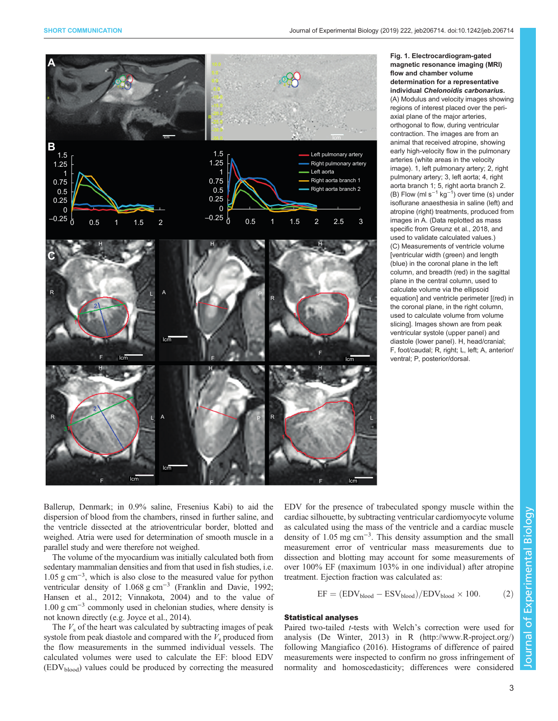<span id="page-2-0"></span>

Fig. 1. Electrocardiogram-gated magnetic resonance imaging (MRI) flow and chamber volume determination for a representative individual Chelonoidis carbonarius. (A) Modulus and velocity images showing regions of interest placed over the periaxial plane of the major arteries, orthogonal to flow, during ventricular contraction. The images are from an animal that received atropine, showing early high-velocity flow in the pulmonary arteries (white areas in the velocity image). 1, left pulmonary artery; 2, right pulmonary artery; 3, left aorta; 4, right aorta branch 1; 5, right aorta branch 2. (B) Flow (ml s−<sup>1</sup> kg−<sup>1</sup> ) over time (s) under isoflurane anaesthesia in saline (left) and atropine (right) treatments, produced from images in A. (Data replotted as mass specific from [Greunz et al., 2018](#page-4-0), and used to validate calculated values.) (C) Measurements of ventricle volume [ventricular width (green) and length (blue) in the coronal plane in the left column, and breadth (red) in the sagittal plane in the central column, used to calculate volume via the ellipsoid equation] and ventricle perimeter [(red) in the coronal plane, in the right column, used to calculate volume from volume slicing]. Images shown are from peak ventricular systole (upper panel) and diastole (lower panel). H, head/cranial; F, foot/caudal; R, right; L, left; A, anterior/ ventral; P, posterior/dorsal.

Ballerup, Denmark; in 0.9% saline, Fresenius Kabi) to aid the dispersion of blood from the chambers, rinsed in further saline, and the ventricle dissected at the atrioventricular border, blotted and weighed. Atria were used for determination of smooth muscle in a parallel study and were therefore not weighed.

The volume of the myocardium was initially calculated both from sedentary mammalian densities and from that used in fish studies, i.e. 1.05 g cm−<sup>3</sup> , which is also close to the measured value for python ventricular density of 1.068 g cm−<sup>3</sup> ([Franklin and Davie, 1992](#page-4-0); [Hansen et al., 2012](#page-4-0); [Vinnakota, 2004\)](#page-5-0) and to the value of 1.00 g cm−<sup>3</sup> commonly used in chelonian studies, where density is not known directly (e.g. [Joyce et al., 2014\)](#page-4-0).

The  $V<sub>s</sub>$  of the heart was calculated by subtracting images of peak systole from peak diastole and compared with the  $V_s$  produced from the flow measurements in the summed individual vessels. The calculated volumes were used to calculate the EF: blood EDV  $(EDV<sub>blood</sub>)$  values could be produced by correcting the measured

EDV for the presence of trabeculated spongy muscle within the cardiac silhouette, by subtracting ventricular cardiomyocyte volume as calculated using the mass of the ventricle and a cardiac muscle density of 1.05 mg cm<sup>-3</sup>. This density assumption and the small measurement error of ventricular mass measurements due to dissection and blotting may account for some measurements of over 100% EF (maximum 103% in one individual) after atropine treatment. Ejection fraction was calculated as:

$$
EF = (EDVblood - ESVblood)/EDVblood \times 100.
$$
 (2)

## Statistical analyses

Paired two-tailed *t*-tests with Welch's correction were used for analysis ([De Winter, 2013\)](#page-4-0) in R ([http://www.R-project.org/\)](http://www.R-project.org/) following [Mangiafico \(2016\).](#page-5-0) Histograms of difference of paired measurements were inspected to confirm no gross infringement of normality and homoscedasticity; differences were considered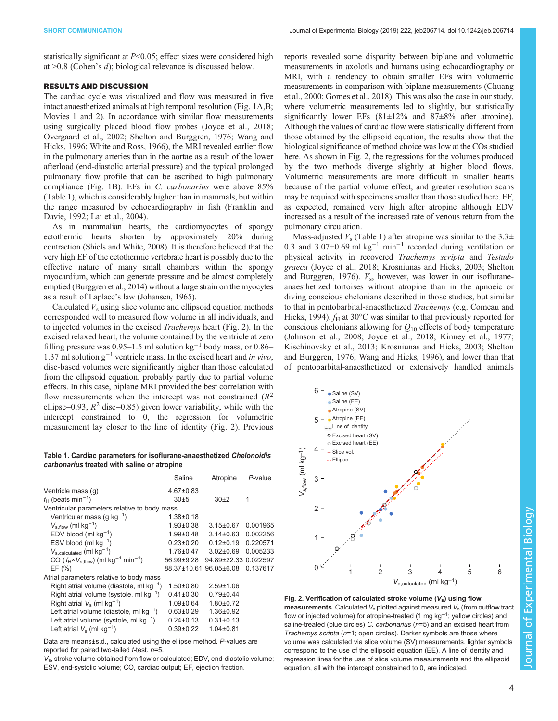statistically significant at  $P<0.05$ ; effect sizes were considered high at  $>0.8$  (Cohen's d); biological relevance is discussed below.

## RESULTS AND DISCUSSION

The cardiac cycle was visualized and flow was measured in five intact anaesthetized animals at high temporal resolution [\(Fig. 1A](#page-2-0),B; [Movies 1](http://movie.biologists.com/video/10.1242/jeb.206714/video-1) and [2](http://movie.biologists.com/video/10.1242/jeb.206714/video-2)). In accordance with similar flow measurements using surgically placed blood flow probes ([Joyce et al., 2018](#page-5-0); [Overgaard et al., 2002](#page-5-0); [Shelton and Burggren, 1976; Wang and](#page-5-0) [Hicks, 1996; White and Ross, 1966\)](#page-5-0), the MRI revealed earlier flow in the pulmonary arteries than in the aortae as a result of the lower afterload (end-diastolic arterial pressure) and the typical prolonged pulmonary flow profile that can be ascribed to high pulmonary compliance ([Fig. 1](#page-2-0)B). EFs in C. carbonarius were above 85% (Table 1), which is considerably higher than in mammals, but within the range measured by echocardiography in fish ([Franklin and](#page-4-0) [Davie, 1992](#page-4-0); [Lai et al., 2004](#page-5-0)).

As in mammalian hearts, the cardiomyocytes of spongy ectothermic hearts shorten by approximately 20% during contraction [\(Shiels and White, 2008](#page-5-0)). It is therefore believed that the very high EF of the ectothermic vertebrate heart is possibly due to the effective nature of many small chambers within the spongy myocardium, which can generate pressure and be almost completely emptied [\(Burggren et al., 2014](#page-4-0)) without a large strain on the myocytes as a result of Laplace's law ([Johansen, 1965\)](#page-4-0).

Calculated  $V<sub>s</sub>$  using slice volume and ellipsoid equation methods corresponded well to measured flow volume in all individuals, and to injected volumes in the excised Trachemys heart (Fig. 2). In the excised relaxed heart, the volume contained by the ventricle at zero filling pressure was 0.95–1.5 ml solution kg<sup>-1</sup> body mass, or 0.86– 1.37 ml solution  $g^{-1}$  ventricle mass. In the excised heart and *in vivo*, disc-based volumes were significantly higher than those calculated from the ellipsoid equation, probably partly due to partial volume effects. In this case, biplane MRI provided the best correlation with flow measurements when the intercept was not constrained  $(R^2)$ ellipse=0.93,  $R^2$  disc=0.85) given lower variability, while with the intercept constrained to 0, the regression for volumetric measurement lay closer to the line of identity (Fig. 2). Previous

Table 1. Cardiac parameters for isoflurane-anaesthetized Chelonoidis carbonarius treated with saline or atropine

|                                                                            | Saline          | Atropine        | P-value  |
|----------------------------------------------------------------------------|-----------------|-----------------|----------|
| Ventricle mass (g)                                                         | $4.67 \pm 0.83$ |                 |          |
| $f_H$ (beats min <sup>-1</sup> )                                           | 30±5            | $30+2$          | 1        |
| Ventricular parameters relative to body mass                               |                 |                 |          |
| Ventricular mass (q $kq^{-1}$ )                                            | $1.38 + 0.18$   |                 |          |
| $V_{\rm s,flow}$ (ml kg <sup>-1</sup> )                                    | $1.93 \pm 0.38$ | $3.15 \pm 0.67$ | 0.001965 |
| EDV blood (ml $kq^{-1}$ )                                                  | $1.99 \pm 0.48$ | $3.14 \pm 0.63$ | 0.002256 |
| ESV blood (ml $kq^{-1}$ )                                                  | $0.23 \pm 0.20$ | $0.12 \pm 0.19$ | 0.220571 |
| $V_{s,calculated}$ (ml $kg^{-1}$ )                                         | $1.76 \pm 0.47$ | $3.02 \pm 0.69$ | 0.005233 |
| CO $(f_H \times V_{\rm s\ flow})$ (ml kg <sup>-1</sup> min <sup>-1</sup> ) | 56.99±9.28      | 94.89±22.33     | 0.022597 |
| EF $(%)$                                                                   | 88.37±10.61     | 96.05±6.08      | 0.137617 |
| Atrial parameters relative to body mass                                    |                 |                 |          |
| Right atrial volume (diastole, ml $kq^{-1}$ )                              | $1.50 \pm 0.80$ | $2.59 + 1.06$   |          |
| Right atrial volume (systole, ml $kq^{-1}$ )                               | $0.41 \pm 0.30$ | $0.79 \pm 0.44$ |          |
| Right atrial $V_s$ (ml kg <sup>-1</sup> )                                  | $1.09 \pm 0.64$ | $1.80 \pm 0.72$ |          |
| Left atrial volume (diastole, ml $kg^{-1}$ )                               | $0.63 \pm 0.29$ | $1.36 \pm 0.92$ |          |
| Left atrial volume (systole, ml $kq^{-1}$ )                                | $0.24 \pm 0.13$ | $0.31 \pm 0.13$ |          |
| Left atrial $V_s$ (ml kg <sup>-1</sup> )                                   | $0.39 + 0.22$   | $1.04 \pm 0.81$ |          |

Data are means±s.d., calculated using the ellipse method. P-values are reported for paired two-tailed  $t$ -test.  $n=5$ .

 $V_s$ , stroke volume obtained from flow or calculated; EDV, end-diastolic volume; ESV, end-systolic volume; CO, cardiac output; EF, ejection fraction.

reports revealed some disparity between biplane and volumetric measurements in axolotls and humans using echocardiography or MRI, with a tendency to obtain smaller EFs with volumetric measurements in comparison with biplane measurements [\(Chuang](#page-4-0) [et al., 2000; Gomes et al., 2018](#page-4-0)). This was also the case in our study, where volumetric measurements led to slightly, but statistically significantly lower EFs  $(81 \pm 12\%$  and  $87 \pm 8\%$  after atropine). Although the values of cardiac flow were statistically different from those obtained by the ellipsoid equation, the results show that the biological significance of method choice was low at the COs studied here. As shown in Fig. 2, the regressions for the volumes produced by the two methods diverge slightly at higher blood flows. Volumetric measurements are more difficult in smaller hearts because of the partial volume effect, and greater resolution scans may be required with specimens smaller than those studied here. EF, as expected, remained very high after atropine although EDV increased as a result of the increased rate of venous return from the pulmonary circulation.

Mass-adjusted  $V<sub>s</sub>$  (Table 1) after atropine was similar to the 3.3 $\pm$ 0.3 and 3.07±0.69 ml kg−<sup>1</sup> min−<sup>1</sup> recorded during ventilation or physical activity in recovered Trachemys scripta and Testudo graeca [\(Joyce et al., 2018](#page-5-0); [Krosniunas and Hicks, 2003](#page-5-0); [Shelton](#page-5-0) [and Burggren, 1976](#page-5-0)).  $V_s$ , however, was lower in our isofluraneanaesthetized tortoises without atropine than in the apnoeic or diving conscious chelonians described in those studies, but similar to that in pentobarbital-anaesthetized Trachemys (e.g. [Comeau and](#page-4-0) [Hicks, 1994\)](#page-4-0).  $f_H$  at 30°C was similar to that previously reported for conscious chelonians allowing for  $Q_{10}$  effects of body temperature [\(Johnson et al., 2008;](#page-4-0) [Joyce et al., 2018](#page-5-0); [Kinney et al., 1977](#page-5-0); [Kischinovsky et al., 2013; Krosniunas and Hicks, 2003; Shelton](#page-5-0) [and Burggren, 1976](#page-5-0); [Wang and Hicks, 1996\)](#page-5-0), and lower than that of pentobarbital-anaesthetized or extensively handled animals



Fig. 2. Verification of calculated stroke volume  $(V_s)$  using flow measurements. Calculated  $V_s$  plotted against measured  $V_s$  (from outflow tract flow or injected volume) for atropine-treated (1 mg kg<sup>-1</sup>; yellow circles) and saline-treated (blue circles) C. carbonarius ( $n=5$ ) and an excised heart from Trachemys scripta ( $n=1$ ; open circles). Darker symbols are those where volume was calculated via slice volume (SV) measurements, lighter symbols correspond to the use of the ellipsoid equation (EE). A line of identity and regression lines for the use of slice volume measurements and the ellipsoid equation, all with the intercept constrained to 0, are indicated.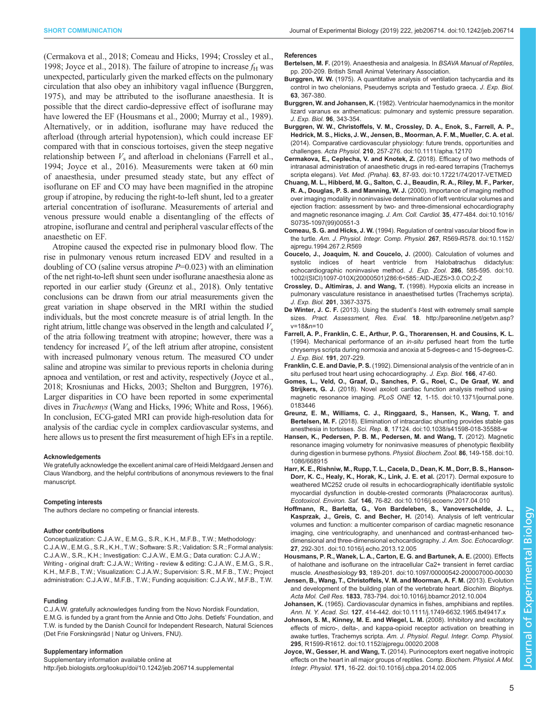<span id="page-4-0"></span>(Cermakova et al., 2018; Comeau and Hicks, 1994; Crossley et al., 1998; [Joyce et al., 2018](#page-5-0)). The failure of atropine to increase  $f_H$  was unexpected, particularly given the marked effects on the pulmonary circulation that also obey an inhibitory vagal influence (Burggren, 1975), and may be attributed to the isoflurane anaesthesia. It is possible that the direct cardio-depressive effect of isoflurane may have lowered the EF (Housmans et al., 2000; [Murray et al., 1989\)](#page-5-0). Alternatively, or in addition, isoflurane may have reduced the afterload (through arterial hypotension), which could increase EF compared with that in conscious tortoises, given the steep negative relationship between  $V_s$  and afterload in chelonians (Farrell et al., 1994; [Joyce et al., 2016](#page-5-0)). Measurements were taken at 60 min of anaesthesia, under presumed steady state, but any effect of isoflurane on EF and CO may have been magnified in the atropine group if atropine, by reducing the right-to-left shunt, led to a greater arterial concentration of isoflurane. Measurements of arterial and venous pressure would enable a disentangling of the effects of atropine, isoflurane and central and peripheral vascular effects of the anaesthetic on EF.

Atropine caused the expected rise in pulmonary blood flow. The rise in pulmonary venous return increased EDV and resulted in a doubling of CO (saline versus atropine  $P=0.023$ ) with an elimination of the net right-to-left shunt seen under isoflurane anaesthesia alone as reported in our earlier study (Greunz et al., 2018). Only tentative conclusions can be drawn from our atrial measurements given the great variation in shape observed in the MRI within the studied individuals, but the most concrete measure is of atrial length. In the right atrium, little change was observed in the length and calculated  $V_s$ of the atria following treatment with atropine; however, there was a tendency for increased  $V<sub>s</sub>$  of the left atrium after atropine, consistent with increased pulmonary venous return. The measured CO under saline and atropine was similar to previous reports in chelonia during apnoea and ventilation, or rest and activity, respectively ([Joyce et al.,](#page-5-0) [2018](#page-5-0); [Krosniunas and Hicks, 2003; Shelton and Burggren, 1976\)](#page-5-0). Larger disparities in CO have been reported in some experimental dives in Trachemys [\(Wang and Hicks, 1996](#page-5-0); [White and Ross, 1966\)](#page-5-0). In conclusion, ECG-gated MRI can provide high-resolution data for analysis of the cardiac cycle in complex cardiovascular systems, and here allows us to present the first measurement of high EFs in a reptile.

## Acknowledgements

We gratefully acknowledge the excellent animal care of Heidi Meldgaard Jensen and Claus Wandborg, and the helpful contributions of anonymous reviewers to the final manuscript.

## Competing interests

The authors declare no competing or financial interests.

#### Author contributions

Conceptualization: C.J.A.W., E.M.G., S.R., K.H., M.F.B., T.W.; Methodology: C.J.A.W., E.M.G., S.R., K.H., T.W.; Software: S.R.; Validation: S.R.; Formal analysis: C.J.A.W., S.R., K.H.; Investigation: C.J.A.W., E.M.G.; Data curation: C.J.A.W.; Writing - original draft: C.J.A.W.; Writing - review & editing: C.J.A.W., E.M.G., S.R., K.H., M.F.B., T.W.; Visualization: C.J.A.W.; Supervision: S.R., M.F.B., T.W.; Project administration: C.J.A.W., M.F.B., T.W.; Funding acquisition: C.J.A.W., M.F.B., T.W.

#### Funding

C.J.A.W. gratefully acknowledges funding from the Novo Nordisk Foundation, E.M.G. is funded by a grant from the Annie and Otto Johs. Detlefs' Foundation, and T.W. is funded by the Danish Council for Independent Research, Natural Sciences (Det Frie Forskningsråd | Natur og Univers, FNU).

#### Supplementary information

Supplementary information available online at <http://jeb.biologists.org/lookup/doi/10.1242/jeb.206714.supplemental>

#### References

- Bertelsen, M. F. (2019). Anaesthesia and analgesia. In BSAVA Manual of Reptiles, pp. 200-209. British Small Animal Veterinary Association.
- Burggren, W. W. (1975). A quantitative analysis of ventilation tachycardia and its control in two chelonians, Pseudemys scripta and Testudo graeca. J. Exp. Biol. 63, 367-380.
- Burggren, W. and Johansen, K. (1982). Ventricular haemodynamics in the monitor lizard varanus ex anthematicus: pulmonary and systemic pressure separation. J. Exp. Biol. 96, 343-354.
- [Burggren, W. W., Christoffels, V. M., Crossley, D. A., Enok, S., Farrell, A. P.,](https://doi.org/10.1111/apha.12170) [Hedrick, M. S., Hicks, J. W., Jensen, B., Moorman, A. F. M., Mueller, C. A. et al.](https://doi.org/10.1111/apha.12170) [\(2014\). Comparative cardiovascular physiology: future trends, opportunities and](https://doi.org/10.1111/apha.12170) challenges. Acta Physiol. 210[, 257-276. doi:10.1111/apha.12170](https://doi.org/10.1111/apha.12170)
- [Cermakova, E., Ceplecha, V. and Knotek, Z.](https://doi.org/10.17221/74/2017-VETMED) (2018). Efficacy of two methods of [intranasal administration of anaesthetic drugs in red-eared terrapins \(Trachemys](https://doi.org/10.17221/74/2017-VETMED) scripta elegans). Vet. Med. (Praha). 63[, 87-93. doi:10.17221/74/2017-VETMED](https://doi.org/10.17221/74/2017-VETMED)
- [Chuang, M. L., Hibberd, M. G., Salton, C. J., Beaudin, R. A., Riley, M. F., Parker,](https://doi.org/10.1016/S0735-1097(99)00551-3) [R. A., Douglas, P. S. and Manning, W. J.](https://doi.org/10.1016/S0735-1097(99)00551-3) (2000). Importance of imaging method [over imaging modality in noninvasive determination of left ventricular volumes and](https://doi.org/10.1016/S0735-1097(99)00551-3) [ejection fraction: assessment by two- and three-dimensional echocardiography](https://doi.org/10.1016/S0735-1097(99)00551-3) [and magnetic resonance imaging.](https://doi.org/10.1016/S0735-1097(99)00551-3) J. Am. Coll. Cardiol. 35, 477-484. doi:10.1016/ [S0735-1097\(99\)00551-3](https://doi.org/10.1016/S0735-1097(99)00551-3)
- Comeau, S. G. and Hicks, J. W. [\(1994\). Regulation of central vascular blood flow in](https://doi.org/10.1152/ajpregu.1994.267.2.R569) the turtle. [Am. J. Physiol. Integr. Comp. Physiol.](https://doi.org/10.1152/ajpregu.1994.267.2.R569) 267, R569-R578. doi:10.1152/ [ajpregu.1994.267.2.R569](https://doi.org/10.1152/ajpregu.1994.267.2.R569)
- [Coucelo, J., Joaquim, N. and Coucelo, J.](https://doi.org/10.1002/(SICI)1097-010X(20000501)286:6%3C585::AID-JEZ5%3E3.0.CO;2-Z) (2000). Calculation of volumes and [systolic indices of heart ventricle from Halobatrachus didactylus:](https://doi.org/10.1002/(SICI)1097-010X(20000501)286:6%3C585::AID-JEZ5%3E3.0.CO;2-Z) [echocardiographic noninvasive method.](https://doi.org/10.1002/(SICI)1097-010X(20000501)286:6%3C585::AID-JEZ5%3E3.0.CO;2-Z) J. Exp. Zool. 286, 585-595. doi:10. [1002/\(SICI\)1097-010X\(20000501\)286:6<585::AID-JEZ5>3.0.CO;2-Z](https://doi.org/10.1002/(SICI)1097-010X(20000501)286:6%3C585::AID-JEZ5%3E3.0.CO;2-Z)
- Crossley, D., Altimiras, J. and Wang, T. (1998). Hypoxia elicits an increase in pulmonary vasculature resistance in anaesthetised turtles (Trachemys scripta). J. Exp. Biol. 201, 3367-3375.
- De Winter, J. C. F. (2013). Using the student's *t*-test with extremely small sample sizes. Pract. Assessment, Res. Eval. 18. [http://pareonline.net/getvn.asp?](http://pareonline.net/getvn.asp?v=18&n=10) [v=18&n=10](http://pareonline.net/getvn.asp?v=18&n=10)
- Farrell, A. P., Franklin, C. E., Arthur, P. G., Thorarensen, H. and Cousins, K. L. (1994). Mechanical performance of an in-situ perfused heart from the turtle chrysemys scripta during normoxia and anoxia at 5-degrees-c and 15-degrees-C. J. Exp. Biol. 191, 207-229.
- Franklin, C. E. and Davie, P. S. (1992). Dimensional analysis of the ventricle of an in situ perfused trout heart using echocardiography. J. Exp. Biol. 166, 47-60.
- [Gomes, L., Veld, O., Graaf, D., Sanches, P. G., Roel, C., De Graaf, W. and](https://doi.org/10.1371/journal.pone.0183446) Strijkers, G. J. [\(2018\). Novel axolotl cardiac function analysis method using](https://doi.org/10.1371/journal.pone.0183446) magnetic resonance imaging. PLoS ONE 12[, 1-15. doi:10.1371/journal.pone.](https://doi.org/10.1371/journal.pone.0183446) [0183446](https://doi.org/10.1371/journal.pone.0183446)
- [Greunz, E. M., Williams, C. J., Ringgaard, S., Hansen, K., Wang, T. and](https://doi.org/10.1038/s41598-018-35588-w) Bertelsen, M. F. [\(2018\). Elimination of intracardiac shunting provides stable gas](https://doi.org/10.1038/s41598-018-35588-w) anesthesia in tortoises. Sci. Rep. 8[, 17124. doi:10.1038/s41598-018-35588-w](https://doi.org/10.1038/s41598-018-35588-w)
- [Hansen, K., Pedersen, P. B. M., Pedersen, M. and Wang, T.](https://doi.org/10.1086/668915) (2012). Magnetic [resonance imaging volumetry for noninvasive measures of phenotypic flexibility](https://doi.org/10.1086/668915) [during digestion in burmese pythons.](https://doi.org/10.1086/668915) Physiol. Biochem. Zool. 86, 149-158. doi:10. [1086/668915](https://doi.org/10.1086/668915)
- [Harr, K. E., Rishniw, M., Rupp, T. L., Cacela, D., Dean, K. M., Dorr, B. S., Hanson-](https://doi.org/10.1016/j.ecoenv.2017.04.010)[Dorr, K. C., Healy, K., Horak, K., Link, J. E. et al.](https://doi.org/10.1016/j.ecoenv.2017.04.010) (2017). Dermal exposure to [weathered MC252 crude oil results in echocardiographically identifiable systolic](https://doi.org/10.1016/j.ecoenv.2017.04.010) [myocardial dysfunction in double-crested cormorants \(Phalacrocorax auritus\).](https://doi.org/10.1016/j.ecoenv.2017.04.010) Ecotoxicol. Environ. Saf. 146[, 76-82. doi:10.1016/j.ecoenv.2017.04.010](https://doi.org/10.1016/j.ecoenv.2017.04.010)
- [Hoffmann, R., Barletta, G., Von Bardeleben, S., Vanoverschelde, J. L.,](https://doi.org/10.1016/j.echo.2013.12.005) [Kasprzak, J., Greis, C. and Becher, H.](https://doi.org/10.1016/j.echo.2013.12.005) (2014). Analysis of left ventricular [volumes and function: a multicenter comparison of cardiac magnetic resonance](https://doi.org/10.1016/j.echo.2013.12.005) [imaging, cine ventriculography, and unenhanced and contrast-enhanced two](https://doi.org/10.1016/j.echo.2013.12.005)[dimensional and three-dimensional echocardiography.](https://doi.org/10.1016/j.echo.2013.12.005) J. Am. Soc. Echocardiogr. 27[, 292-301. doi:10.1016/j.echo.2013.12.005](https://doi.org/10.1016/j.echo.2013.12.005)
- [Housmans, P. R., Wanek, L. A., Carton, E. G. and Bartunek, A. E.](https://doi.org/10.1097/00000542-200007000-00030) (2000). Effects [of halothane and isoflurane on the intracellular Ca2+ transient in ferret cardiac](https://doi.org/10.1097/00000542-200007000-00030) muscle. Anesthesiology 93[, 189-201. doi:10.1097/00000542-200007000-00030](https://doi.org/10.1097/00000542-200007000-00030)
- [Jensen, B., Wang, T., Christoffels, V. M. and Moorman, A. F. M.](https://doi.org/10.1016/j.bbamcr.2012.10.004) (2013). Evolution [and development of the building plan of the vertebrate heart.](https://doi.org/10.1016/j.bbamcr.2012.10.004) Biochim. Biophys. Acta Mol. Cell Res. 1833[, 783-794. doi:10.1016/j.bbamcr.2012.10.004](https://doi.org/10.1016/j.bbamcr.2012.10.004)
- Johansen, K. [\(1965\). Cardiovascular dynamics in fishes, amphibians and reptiles.](https://doi.org/10.1111/j.1749-6632.1965.tb49417.x) Ann. N. Y. Acad. Sci. 127[, 414-442. doi:10.1111/j.1749-6632.1965.tb49417.x](https://doi.org/10.1111/j.1749-6632.1965.tb49417.x)
- [Johnson, S. M., Kinney, M. E. and Wiegel, L. M.](https://doi.org/10.1152/ajpregu.00020.2008) (2008). Inhibitory and excitatory [effects of micro-, delta-, and kappa-opioid receptor activation on breathing in](https://doi.org/10.1152/ajpregu.00020.2008) awake turtles, Trachemys scripta. [Am. J. Physiol. Regul. Integr. Comp. Physiol.](https://doi.org/10.1152/ajpregu.00020.2008) 295[, R1599-R1612. doi:10.1152/ajpregu.00020.2008](https://doi.org/10.1152/ajpregu.00020.2008)
- Joyce, W., Gesser, H. and Wang, T. [\(2014\). Purinoceptors exert negative inotropic](https://doi.org/10.1016/j.cbpa.2014.02.005) [effects on the heart in all major groups of reptiles.](https://doi.org/10.1016/j.cbpa.2014.02.005) Comp. Biochem. Physiol. A Mol. Integr. Physiol. 171[, 16-22. doi:10.1016/j.cbpa.2014.02.005](https://doi.org/10.1016/j.cbpa.2014.02.005)